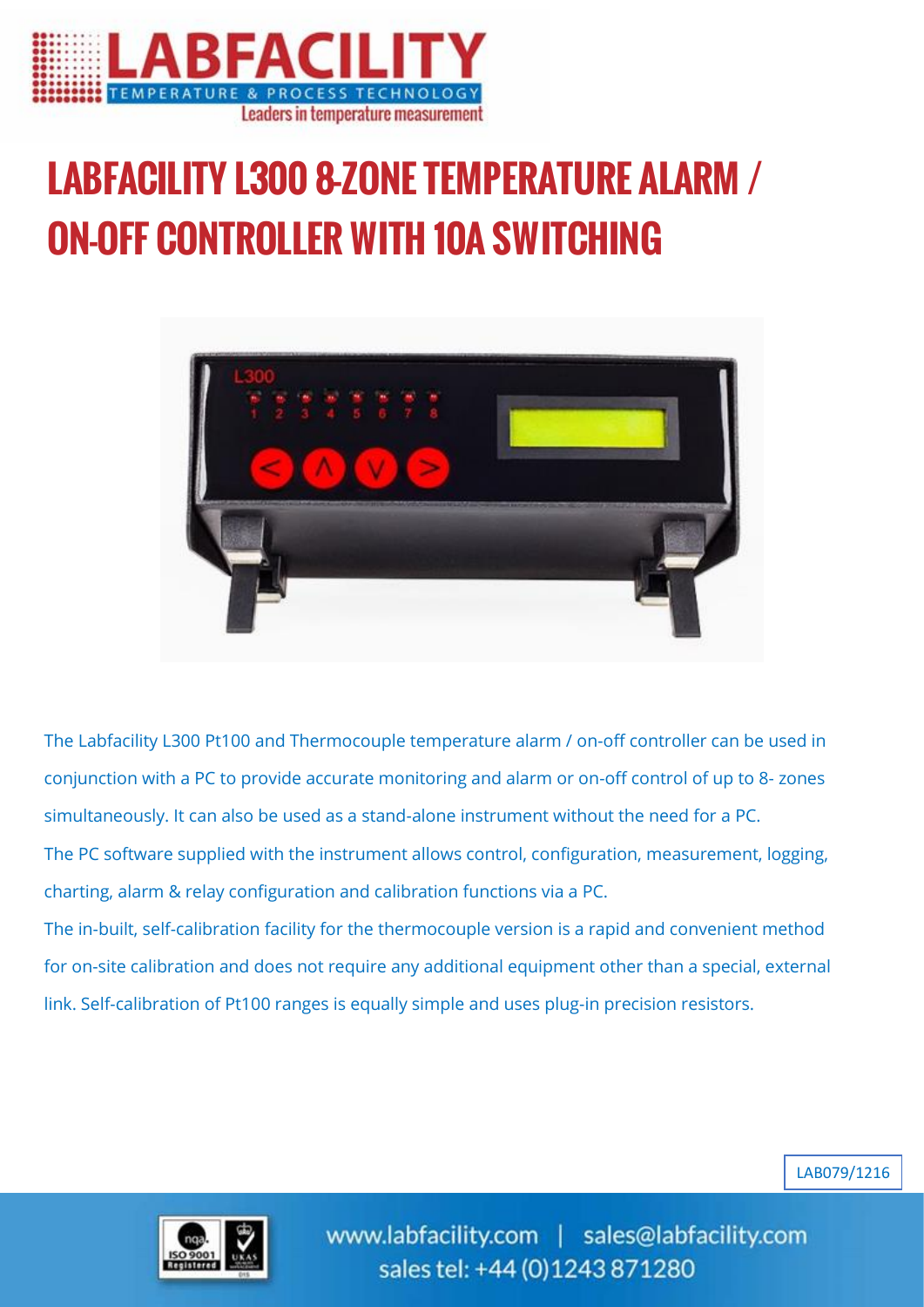

# LABFACILITY L300 8-ZONE TEMPERATURE ALARM / ON-OFF CONTROLLER WITH 10A SWITCHING



The Labfacility L300 Pt100 and Thermocouple temperature alarm / on-off controller can be used in conjunction with a PC to provide accurate monitoring and alarm or on-off control of up to 8- zones simultaneously. It can also be used as a stand-alone instrument without the need for a PC. The PC software supplied with the instrument allows control, configuration, measurement, logging, charting, alarm & relay configuration and calibration functions via a PC.

The in-built, self-calibration facility for the thermocouple version is a rapid and convenient method for on-site calibration and does not require any additional equipment other than a special, external link. Self-calibration of Pt100 ranges is equally simple and uses plug-in precision resistors.





www.labfacility.com | sales@labfacility.com sales tel: +44 (0)1243 871280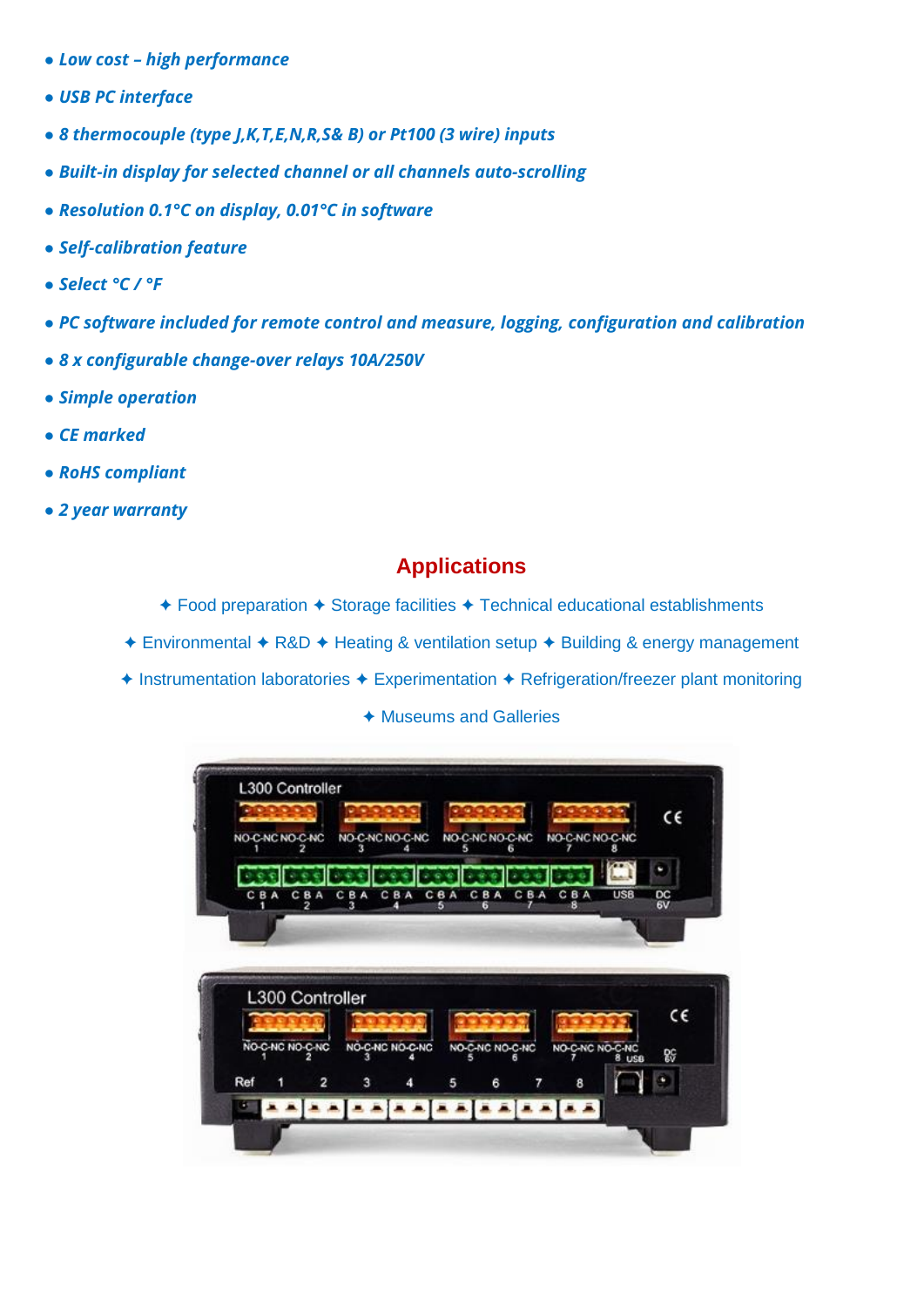- *● Low cost – high performance*
- *● USB PC interface*
- *● 8 thermocouple (type J,K,T,E,N,R,S& B) or Pt100 (3 wire) inputs*
- *● Built-in display for selected channel or all channels auto-scrolling*
- *● Resolution 0.1°C on display, 0.01°C in software*
- *● Self-calibration feature*
- *● Select °C / °F*
- *● PC software included for remote control and measure, logging, configuration and calibration*
- *● 8 x configurable change-over relays 10A/250V*
- *● Simple operation*
- *● CE marked*
- *● RoHS compliant*
- *● 2 year warranty*

## **Applications**

- ✦ Food preparation ✦ Storage facilities ✦ Technical educational establishments
- ✦ Environmental ✦ R&D ✦ Heating & ventilation setup ✦ Building & energy management
- ✦ Instrumentation laboratories ✦ Experimentation ✦ Refrigeration/freezer plant monitoring
	- ✦ Museums and Galleries

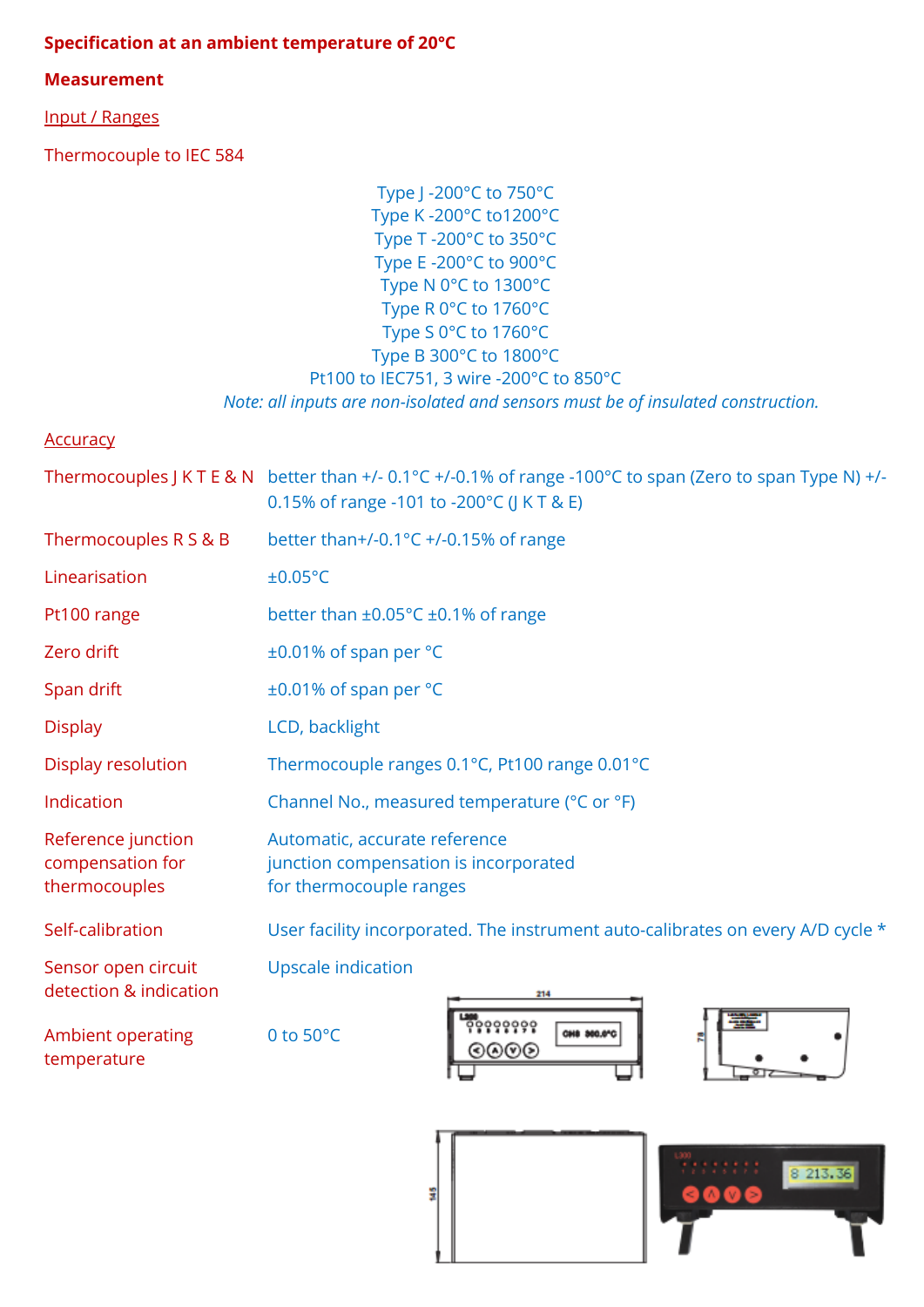### **Specification at an ambient temperature of 20°C**

#### **Measurement**

Input / Ranges

Thermocouple to IEC 584

Type J -200°C to 750°C Type K -200°C to1200°C Type T -200°C to 350°C Type E -200°C to 900°C Type N 0°C to 1300°C Type R 0°C to 1760°C Type S 0°C to 1760°C Type B 300°C to 1800°C Pt100 to IEC751, 3 wire -200°C to 850°C *Note: all inputs are non-isolated and sensors must be of insulated construction.*

| <b>Accuracy</b>                                         |                                                                                                                                                                             |
|---------------------------------------------------------|-----------------------------------------------------------------------------------------------------------------------------------------------------------------------------|
|                                                         | Thermocouples J K T E & N better than +/- $0.1^{\circ}$ C +/-0.1% of range -100 $^{\circ}$ C to span (Zero to span Type N) +/-<br>0.15% of range -101 to -200°C (J K T & E) |
| Thermocouples R S & B                                   | better than+/-0.1°C +/-0.15% of range                                                                                                                                       |
| Linearisation                                           | ±0.05°C                                                                                                                                                                     |
| Pt100 range                                             | better than $\pm 0.05^{\circ}$ C $\pm 0.1\%$ of range                                                                                                                       |
| Zero drift                                              | ±0.01% of span per °C                                                                                                                                                       |
| Span drift                                              | ±0.01% of span per °C                                                                                                                                                       |
| <b>Display</b>                                          | LCD, backlight                                                                                                                                                              |
| Display resolution                                      | Thermocouple ranges 0.1°C, Pt100 range 0.01°C                                                                                                                               |
| Indication                                              | Channel No., measured temperature (°C or °F)                                                                                                                                |
| Reference junction<br>compensation for<br>thermocouples | Automatic, accurate reference<br>junction compensation is incorporated<br>for thermocouple ranges                                                                           |
| Self-calibration                                        | User facility incorporated. The instrument auto-calibrates on every A/D cycle *                                                                                             |
| Sensor open circuit<br>detection & indication           | <b>Upscale indication</b><br>妻<br>60000000                                                                                                                                  |
|                                                         |                                                                                                                                                                             |

ž

Ambient operating 0 to 50°C temperature